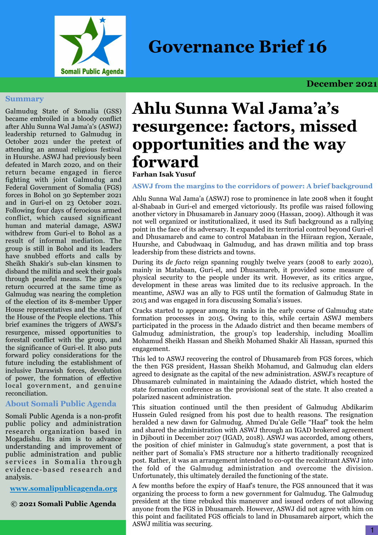

**Governance Brief 16**

# **December 2021**

#### **Summary**

Galmudug State of Somalia (GSS) became embroiled in a bloody conflict after Ahlu Sunna Wal Jama'a's (ASWJ) leadership returned to Galmudug in October 2021 under the pretext of attending an annual religious festival in Huurshe. ASWJ had previously been defeated in March 2020, and on their return became engaged in fierce fighting with joint Galmudug and Federal Government of Somalia (FGS) forces in Bohol on 30 September 2021 and in Guri-el on 23 October 2021. Following four days of ferocious armed conflict, which caused significant human and material damage, ASWJ withdrew from Guri-el to Bohol as a result of informal mediation. The group is still in Bohol and its leaders have snubbed efforts and calls by Sheikh Shakir's sub-clan kinsmen to disband the militia and seek their goals through peaceful means. The group's return occurred at the same time as Galmudug was nearing the completion of the election of its 8-member Upper House representatives and the start of the House of the People elections. This brief examines the triggers of AWSJ's resurgence, missed opportunities to forestall conflict with the group, and the significance of Guri-el. It also puts forward policy considerations for the future including the establishment of inclusive Darawish forces, devolution of power, the formation of effective local government, and genuine reconciliation.

## **About Somali Public Agenda**

Somali Public Agenda is a non-profit public policy and administration research organization based in Mogadishu. Its aim is to advance understanding and improvement of public administration and public services in Somalia through evidence-based research and analysis.

### **[www.somalipublicagenda.](http://www.somalipublicagenda.com)org**

**© 2021 Somali Public Agenda**

# **Ahlu Sunna Wal Jama'a's resurgence: factors, missed opportunities and the way forward**

# **Farhan Isak Yusuf**

**ASWJ from the margins to the corridors of power: A brief background** 

Ahlu Sunna Wal Jama'a (ASWJ) rose to prominence in late 2008 when it fought al-Shabaab in Guri-el and emerged victoriously. Its profile was raised following another victory in Dhusamareb in January 2009 (Hassan, 2009). Although it was not well organized or institutionalized, it used its Sufi background as a rallying point in the face of its adversary. It expanded its territorial control beyond Guri-el and Dhusamareb and came to control Matabaan in the Hiiraan region, Xeraale, Huurshe, and Cabudwaaq in Galmudug, and has drawn militia and top brass leadership from these districts and towns.

During its *de facto* reign spanning roughly twelve years (2008 to early 2020), mainly in Matabaan, Guri-el, and Dhusamareb, it provided some measure of physical security to the people under its writ. However, as its critics argue, development in these areas was limited due to its reclusive approach. In the meantime, ASWJ was an ally to FGS until the formation of Galmudug State in 2015 and was engaged in fora discussing Somalia's issues.

Cracks started to appear among its ranks in the early course of Galmudug state formation processes in 2015. Owing to this, while certain ASWJ members participated in the process in the Adaado district and then became members of Galmudug administration, the group's top leadership, including Moallim Mohamud Sheikh Hassan and Sheikh Mohamed Shakir Ali Hassan, spurned this engagement.

This led to ASWJ recovering the control of Dhusamareb from FGS forces, which the then FGS president, Hassan Sheikh Mohamud, and Galmudug clan elders agreed to designate as the capital of the new administration. ASWJ's recapture of Dhusamareb culminated in maintaining the Adaado district, which hosted the state formation conference as the provisional seat of the state. It also created a polarized nascent administration.

This situation continued until the then president of Galmudug Abdikarim Hussein Guled resigned from his post due to health reasons. The resignation heralded a new dawn for Galmudug. Ahmed Du'ale Gelle "Haaf" took the helm and shared the administration with ASWJ through an IGAD brokered agreement in Djibouti in December 2017 (IGAD, 2018). ASWJ was accorded, among others, the position of chief minister in Galmudug's state government, a post that is neither part of Somalia's FMS structure nor a hitherto traditionally recognized post. Rather, it was an arrangement intended to co-opt the recalcitrant ASWJ into the fold of the Galmudug administration and overcome the division. Unfortunately, this ultimately derailed the functioning of the state.

A few months before the expiry of Haaf's tenure, the FGS announced that it was organizing the process to form a new government for Galmudug. The Galmudug president at the time rebuked this maneuver and issued orders of not allowing anyone from the FGS in Dhusamareb. However, ASWJ did not agree with him on this point and facilitated FGS officials to land in Dhusamareb airport, which the ASWJ militia was securing.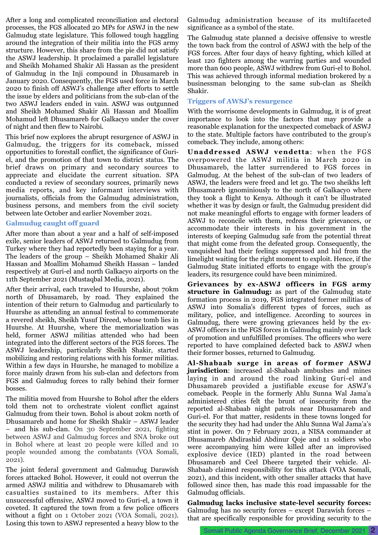After a long and complicated reconciliation and electoral processes, the FGS allocated 20 MPs for ASWJ in the new Galmudug state legislature. This followed tough haggling around the integration of their militia into the FGS army structure. However, this share from the pie did not satisfy the ASWJ leadership. It proclaimed a parallel legislature and Sheikh Mohamed Shakir Ali Hassan as the president of Galmudug in the Inji compound in Dhusamareb in January 2020. Consequently, the FGS used force in March 2020 to finish off ASWJ's challenge after efforts to settle the issue by elders and politicians from the sub-clan of the two ASWJ leaders ended in vain. ASWJ was outgunned and Sheikh Mohamed Shakir Ali Hassan and Moallim Mohamud left Dhusamareb for Galkacyo under the cover of night and then flew to Nairobi.

This brief now explores the abrupt resurgence of ASWJ in Galmudug, the triggers for its comeback, missed opportunities to forestall conflict, the significance of Guriel, and the promotion of that town to district status. The brief draws on primary and secondary sources to appreciate and elucidate the current situation. SPA conducted a review of secondary sources, primarily news media reports, and key informant interviews with journalists, officials from the Galmudug administration, business persons, and members from the civil society between late October and earlier November 2021.

#### **Galmudug caught off guard**

After more than about a year and a half of self-imposed exile, senior leaders of ASWJ returned to Galmudug from Turkey where they had reportedly been staying for a year. The leaders of the group – Sheikh Mohamed Shakir Ali Hassan and Moallim Mohamud Sheikh Hassan – landed respectively at Guri-el and north Galkacyo airports on the 11th September 2021 (Mustaqbal Media, 2021).

After their arrival, each traveled to Huurshe, about 70km north of Dhusamareb, by road. They explained the intention of their return to Galmudug and particularly to Huurshe as attending an annual festival to commemorate a revered sheikh, Sheikh Yusuf Direed, whose tomb lies in Huurshe. At Huurshe, where the memorialization was held, former ASWJ militias attended who had been integrated into the different sectors of the FGS forces. The ASWJ leadership, particularly Sheikh Shakir, started mobilizing and restoring relations with his former militias. Within a few days in Huurshe, he managed to mobilize a force mainly drawn from his sub-clan and defectors from FGS and Galmudug forces to rally behind their former bosses.

The militia moved from Huurshe to Bohol after the elders told them not to orchestrate violent conflict against Galmudug from their town. Bohol is about 20km north of Dhusamareb and home for Sheikh Shakir – ASWJ leader – and his sub-clan. On 30 September 2021, fighting between ASWJ and Galmudug forces and SNA broke out in Bohol where at least 20 people were killed and 10 people wounded among the combatants (VOA Somali, 2021).

The joint federal government and Galmudug Darawish forces attacked Bohol. However, it could not overrun the armed ASWJ militia and withdrew to Dhusamareb with casualties sustained to its members. After this unsuccessful offensive, ASWJ moved to Guri-el, a town it coveted. It captured the town from a few police officers without a fight on 1 October 2021 (VOA Somali, 2021). Losing this town to ASWJ represented a heavy blow to the

Galmudug administration because of its multifaceted significance as a symbol of the state.

The Galmudug state planned a decisive offensive to wrestle the town back from the control of ASWJ with the help of the FGS forces. After four days of heavy fighting, which killed at least 120 fighters among the warring parties and wounded more than 600 people, ASWJ withdrew from Guri-el to Bohol. This was achieved through informal mediation brokered by a businessman belonging to the same sub-clan as Sheikh Shakir.

#### **Triggers of AWSJ's resurgence**

With the worrisome developments in Galmudug, it is of great importance to look into the factors that may provide a reasonable explanation for the unexpected comeback of ASWJ to the state. Multiple factors have contributed to the group's comeback. They include, among others:

**Unaddressed ASWJ vendetta**: when the FGS overpowered the ASWJ militia in March 2020 in Dhusamareb, the latter surrendered to FGS forces in Galmudug. At the behest of the sub-clan of two leaders of ASWJ, the leaders were freed and let go. The two sheikhs left Dhusamareb ignominiously to the north of Galkacyo where they took a flight to Kenya. Although it can't be illustrated whether it was by design or fault, the Galmudug president did not make meaningful efforts to engage with former leaders of ASWJ to reconcile with them, redress their grievances, or accommodate their interests in his government in the interests of keeping Galmudug safe from the potential threat that might come from the defeated group. Consequently, the vanquished had their feelings suppressed and hid from the limelight waiting for the right moment to exploit. Hence, if the Galmudug State initiated efforts to engage with the group's leaders, its resurgence could have been minimized.

**Grievances by ex-ASWJ officers in FGS army structure in Galmudug:** as part of the Galmudug state formation process in 2019, FGS integrated former militias of ASWJ into Somalia's different types of forces, such as military, police, and intelligence. According to sources in Galmudug, there were growing grievances held by the ex-ASWJ officers in the FGS forces in Galmudug mainly over lack of promotion and unfulfilled promises. The officers who were reported to have complained defected back to ASWJ when their former bosses, returned to Galmudug.

**Al-Shabaab surge in areas of former ASWJ jurisdiction**: increased al-Shabaab ambushes and mines laying in and around the road linking Guri-el and Dhusamareb provided a justifiable excuse for ASWJ's comeback. People in the formerly Ahlu Sunna Wal Jama'a administered cities felt the brunt of insecurity from the reported al-Shabaab night patrols near Dhusamareb and Guri-el. For that matter, residents in these towns longed for the security they had had under the Ahlu Sunna Wal Jama'a's stint in power. On 7 February 2021, a NISA commander at Dhusamareb Abdirashid Abdinur Qoje and 11 soldiers who were accompanying him were killed after an improvised explosive device (IED) planted in the road between Dhusamareb and Ceel Dheere targeted their vehicle. Al-Shabaab claimed responsibility for this attack (VOA Somali, 2021), and this incident, with other smaller attacks that have followed since then, has made this road impassable for the Galmudug officials.

**Galmudug lacks inclusive state-level security forces:** Galmudug has no security forces – except Darawish forces – that are specifically responsible for providing security to the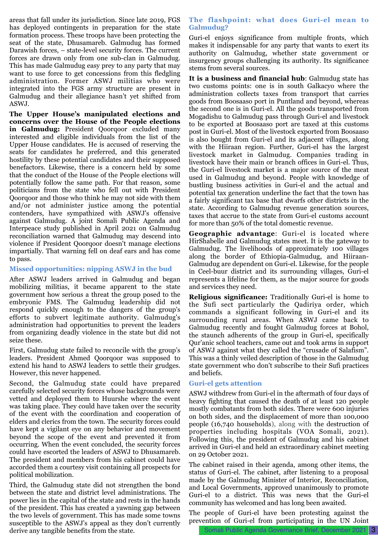areas that fall under its jurisdiction. Since late 2019, FGS has deployed contingents in preparation for the state formation process. These troops have been protecting the seat of the state, Dhusamareb. Galmudug has formed Darawish forces, – state-level security forces. The current forces are drawn only from one sub-clan in Galmudug. This has made Galmudug easy prey to any party that may want to use force to get concessions from this fledgling administration. Former ASWJ militias who were integrated into the FGS army structure are present in Galmudug and their allegiance hasn't yet shifted from ASWJ.

**The Upper House's manipulated elections and concerns over the House of the People elections in Galmudug:** President Qoorqoor excluded many interested and eligible individuals from the list of the Upper House candidates. He is accused of reserving the seats for candidates he preferred, and this generated hostility by these potential candidates and their supposed benefactors. Likewise, there is a concern held by some that the conduct of the House of the People elections will potentially follow the same path. For that reason, some politicians from the state who fell out with President Qoorqoor and those who think he may not side with them and/or not administer justice among the potential contenders, have sympathized with ASWJ's offensive against Galmudug. A joint Somali Public Agenda and Interpeace study published in April 2021 on Galmudug reconciliation warned that Galmudug may descend into violence if President Qoorqoor doesn't manage elections impartially. That warning fell on deaf ears and has come to pass.

#### **Missed opportunities: nipping ASWJ in the bud**

After ASWJ leaders arrived in Galmudug and began mobilizing militias, it became apparent to the state government how serious a threat the group posed to the embryonic FMS. The Galmudug leadership did not respond quickly enough to the dangers of the group's efforts to subvert legitimate authority. Galmudug's administration had opportunities to prevent the leaders from organizing deadly violence in the state but did not seize these.

First, Galmudug state failed to reconcile with the group's leaders. President Ahmed Qoorqoor was supposed to extend his hand to ASWJ leaders to settle their grudges. However, this never happened.

Second, the Galmudug state could have prepared carefully selected security forces whose backgrounds were vetted and deployed them to Huurshe where the event was taking place. They could have taken over the security of the event with the coordination and cooperation of elders and clerics from the town. The security forces could have kept a vigilant eye on any behavior and movement beyond the scope of the event and prevented it from occurring. When the event concluded, the security forces could have escorted the leaders of ASWJ to Dhusamareb. The president and members from his cabinet could have accorded them a courtesy visit containing all prospects for political mobilization.

Third, the Galmudug state did not strengthen the bond between the state and district level administrations. The power lies in the capital of the state and rests in the hands of the president. This has created a yawning gap between the two levels of government. This has made some towns susceptible to the ASWJ's appeal as they don't currently derive any tangible benefits from the state.

#### **The flashpoint: what does Guri-el mean to Galmudug?**

Guri-el enjoys significance from multiple fronts, which makes it indispensable for any party that wants to exert its authority on Galmudug, whether state government or insurgency groups challenging its authority. Its significance stems from several sources.

**It is a business and financial hub**: Galmudug state has two customs points: one is in south Galkacyo where the administration collects taxes from transport that carries goods from Boosaaso port in Puntland and beyond, whereas the second one is in Guri-el. All the goods transported from Mogadishu to Galmudug pass through Guri-el and livestock to be exported at Boosaaso port are taxed at this customs post in Guri-el. Most of the livestock exported from Boosaaso is also bought from Guri-el and its adjacent villages, along with the Hiiraan region. Further, Guri-el has the largest livestock market in Galmudug. Companies trading in livestock have their main or branch offices in Guri-el. Thus, the Guri-el livestock market is a major source of the meat used in Galmudug and beyond. People with knowledge of bustling business activities in Guri-el and the actual and potential tax generation underline the fact that the town has a fairly significant tax base that dwarfs other districts in the state. According to Galmudug revenue generation sources, taxes that accrue to the state from Guri-el customs account for more than 50% of the total domestic revenue.

**Geographic advantage**: Guri-el is located where HirShabelle and Galmudug states meet. It is the gateway to Galmudug. The livelihoods of approximately 100 villages along the border of Ethiopia-Galmudug, and Hiiraan-Galmudug are dependent on Guri-el. Likewise, for the people in Ceel-buur district and its surrounding villages, Guri-el represents a lifeline for them, as the major source for goods and services they need.

**Religious significance:** Traditionally Guri-el is home to the Sufi sect particularly the Qadiriya order, which commands a significant following in Guri-el and its surrounding rural areas. When ASWJ came back to Galmudug recently and fought Galmudug forces at Bohol, the staunch adherents of the group in Guri-el, specifically Qur'anic school teachers, came out and took arms in support of ASWJ against what they called the "crusade of Salafism". This was a thinly veiled description of those in the Galmudug state government who don't subscribe to their Sufi practices and beliefs.

#### **Guri-el gets attention**

ASWJ withdrew from Guri-el in the aftermath of four days of heavy fighting that caused the death of at least 120 people mostly combatants from both sides. There were 600 injuries on both sides, and the displacement of more than 100,000 people (16,740 households), along with the destruction of properties including hospitals (VOA Somali, 2021). Following this, the president of Galmudug and his cabinet arrived in Guri-el and held an extraordinary cabinet meeting on 29 October 2021.

The cabinet raised in their agenda, among other items, the status of Guri-el. The cabinet, after listening to a proposal made by the Galmudug Minister of Interior, Reconciliation, and Local Governments, approved unanimously to promote Guri-el to a district. This was news that the Guri-el community has welcomed and has long been awaited.

The people of Guri-el have been protesting against the prevention of Guri-el from participating in the UN Joint